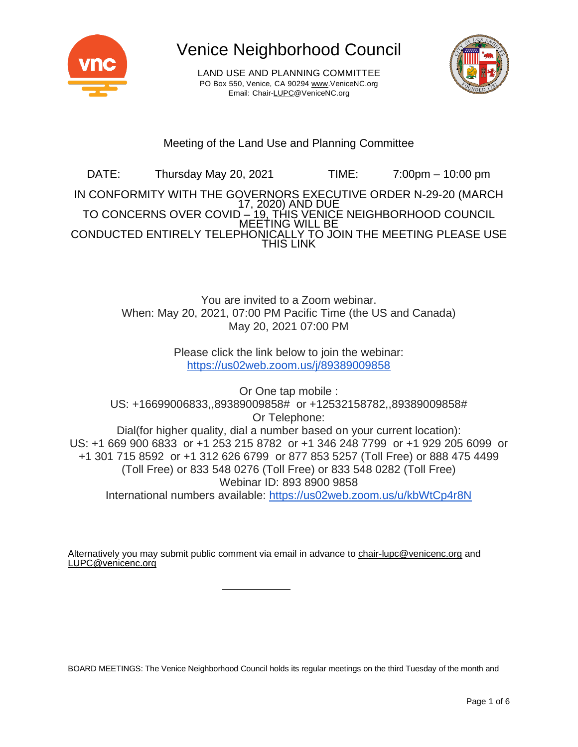

LAND USE AND PLANNING COMMITTEE PO Box 550, Venice, CA 90294 [www.VeniceNC.org](http://www.venicenc.org/) Email: Chai[r-LUPC@VeniceNC.org](mailto:LUPC@VeniceNC.org)



# Meeting of the Land Use and Planning Committee

DATE: Thursday May 20, 2021 TIME: 7:00pm – 10:00 pm IN CONFORMITY WITH THE GOVERNORS EXECUTIVE ORDER N-29-20 (MARCH 17, 2020) AND DUE TO CONCERNS OVER COVID <u>– 19, THIS VENIC</u>E NEIGHBORHOOD COUNCIL MEETING WILL BE CONDUCTED ENTIRELY TELEPHONICALLY TO JOIN THE MEETING PLEASE USE THIS LINK

> You are invited to a Zoom webinar. When: May 20, 2021, 07:00 PM Pacific Time (the US and Canada) May 20, 2021 07:00 PM

> > Please click the link below to join the webinar: <https://us02web.zoom.us/j/89389009858>

Or One tap mobile : US: +16699006833,,89389009858# or +12532158782,,89389009858# Or Telephone: Dial(for higher quality, dial a number based on your current location): US: +1 669 900 6833 or +1 253 215 8782 or +1 346 248 7799 or +1 929 205 6099 or +1 301 715 8592 or +1 312 626 6799 or 877 853 5257 (Toll Free) or 888 475 4499 (Toll Free) or 833 548 0276 (Toll Free) or 833 548 0282 (Toll Free) Webinar ID: 893 8900 9858 International numbers available: <https://us02web.zoom.us/u/kbWtCp4r8N>

Alternatively you may submit public comment via email in advance to [chair-lupc@venicenc.org](mailto:chair-lupc@venicenc.org) and [LUPC@venicenc.org](mailto:LUPC@venicenc.org)

BOARD MEETINGS: The Venice Neighborhood Council holds its regular meetings on the third Tuesday of the month and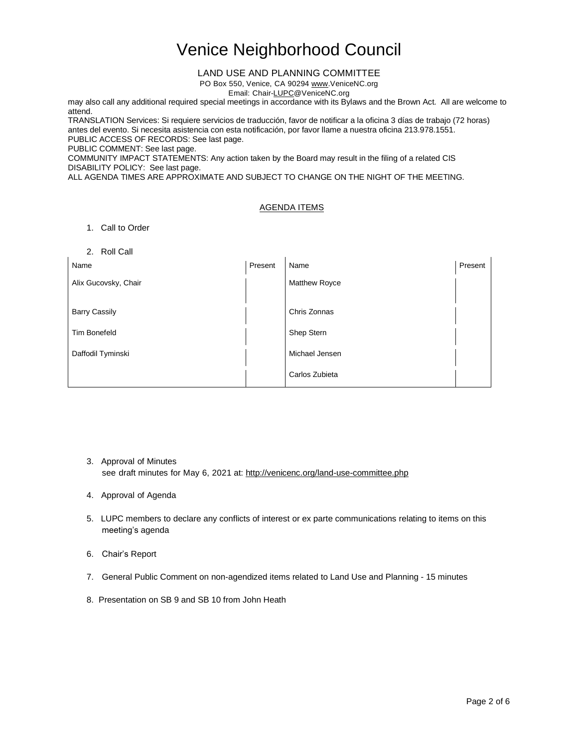#### LAND USE AND PLANNING COMMITTEE

PO Box 550, Venice, CA 90294 [www.VeniceNC.org](http://www.venicenc.org/)

Email: Chai[r-LUPC@VeniceNC.org](mailto:LUPC@VeniceNC.org)

may also call any additional required special meetings in accordance with its Bylaws and the Brown Act. All are welcome to attend.

TRANSLATION Services: Si requiere servicios de traducción, favor de notificar a la oficina 3 días de trabajo (72 horas) antes del evento. Si necesita asistencia con esta notificación, por favor llame a nuestra oficina 213.978.1551. PUBLIC ACCESS OF RECORDS: See last page.

PUBLIC COMMENT: See last page.

COMMUNITY IMPACT STATEMENTS: Any action taken by the Board may result in the filing of a related CIS DISABILITY POLICY: See last page.

ALL AGENDA TIMES ARE APPROXIMATE AND SUBJECT TO CHANGE ON THE NIGHT OF THE MEETING.

### AGENDA ITEMS

- 1. Call to Order
- 2. Roll Call

| Name                 | Present | Name           | Present |
|----------------------|---------|----------------|---------|
| Alix Gucovsky, Chair |         | Matthew Royce  |         |
|                      |         |                |         |
| <b>Barry Cassily</b> |         | Chris Zonnas   |         |
| <b>Tim Bonefeld</b>  |         | Shep Stern     |         |
| Daffodil Tyminski    |         | Michael Jensen |         |
|                      |         | Carlos Zubieta |         |

- 3. Approval of Minutes see draft minutes for May 6, 2021 at: <http://venicenc.org/land-use-committee.php>
- 4. Approval of Agenda
- 5. LUPC members to declare any conflicts of interest or ex parte communications relating to items on this meeting's agenda
- 6. Chair's Report
- 7. General Public Comment on non-agendized items related to Land Use and Planning 15 minutes
- 8. Presentation on SB 9 and SB 10 from John Heath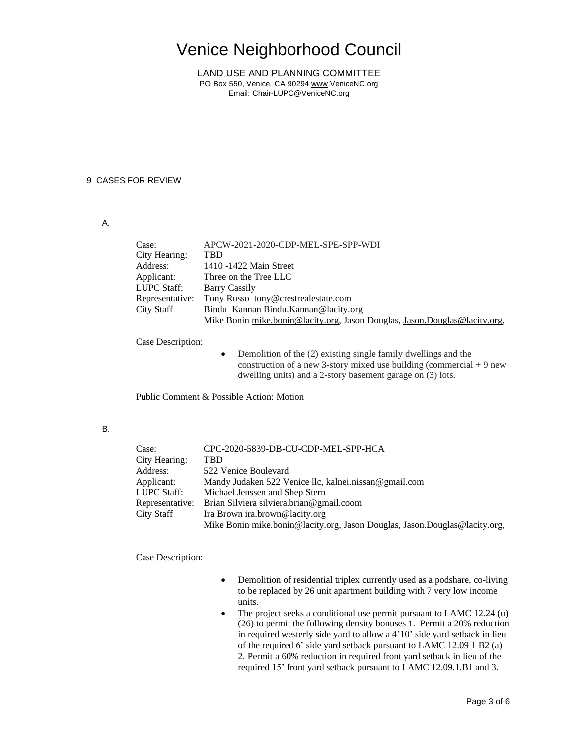LAND USE AND PLANNING COMMITTEE PO Box 550, Venice, CA 90294 [www.VeniceNC.org](http://www.venicenc.org/) Email: Chai[r-LUPC@VeniceNC.org](mailto:LUPC@VeniceNC.org)

#### 9 CASES FOR REVIEW

### A.

| Case:           | APCW-2021-2020-CDP-MEL-SPE-SPP-WDI                                         |
|-----------------|----------------------------------------------------------------------------|
| City Hearing:   | TBD                                                                        |
| Address:        | 1410 -1422 Main Street                                                     |
| Applicant:      | Three on the Tree LLC                                                      |
| LUPC Staff:     | <b>Barry Cassily</b>                                                       |
| Representative: | Tony Russo tony@crestrealestate.com                                        |
| City Staff      | Bindu Kannan Bindu. Kannan @lacity.org                                     |
|                 | Mike Bonin mike.bonin@lacity.org, Jason Douglas, Jason.Douglas@lacity.org, |
|                 |                                                                            |

Case Description:

• Demolition of the (2) existing single family dwellings and the construction of a new 3-story mixed use building (commercial  $+9$  new dwelling units) and a 2-story basement garage on (3) lots.

Public Comment & Possible Action: Motion

### B.

| Case:           | CPC-2020-5839-DB-CU-CDP-MEL-SPP-HCA                                        |
|-----------------|----------------------------------------------------------------------------|
| City Hearing:   | TBD                                                                        |
| Address:        | 522 Venice Boulevard                                                       |
| Applicant:      | Mandy Judaken 522 Venice Ilc, kalnei.nissan@gmail.com                      |
| LUPC Staff:     | Michael Jenssen and Shep Stern                                             |
| Representative: | Brian Silviera silviera.brian@gmail.coom                                   |
| City Staff      | Ira Brown ira.brown@lacity.org                                             |
|                 | Mike Bonin mike.bonin@lacity.org, Jason Douglas, Jason.Douglas@lacity.org, |

#### Case Description:

- Demolition of residential triplex currently used as a podshare, co-living to be replaced by 26 unit apartment building with 7 very low income units.
- The project seeks a conditional use permit pursuant to LAMC 12.24 (u) (26) to permit the following density bonuses 1. Permit a 20% reduction in required westerly side yard to allow a 4'10' side yard setback in lieu of the required 6' side yard setback pursuant to LAMC 12.09 1 B2 (a) 2. Permit a 60% reduction in required front yard setback in lieu of the required 15' front yard setback pursuant to LAMC 12.09.1.B1 and 3.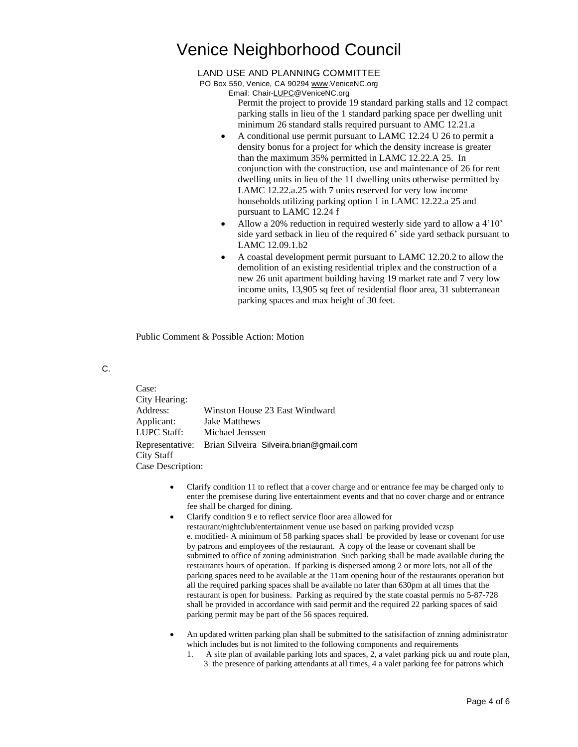#### LAND USE AND PLANNING COMMITTEE

PO Box 550, Venice, CA 90294 [www.VeniceNC.org](http://www.venicenc.org/)

Email: Chai[r-LUPC@VeniceNC.org](mailto:LUPC@VeniceNC.org)

Permit the project to provide 19 standard parking stalls and 12 compact parking stalls in lieu of the 1 standard parking space per dwelling unit minimum 26 standard stalls required pursuant to AMC 12.21.a

- A conditional use permit pursuant to LAMC 12.24 U 26 to permit a density bonus for a project for which the density increase is greater than the maximum 35% permitted in LAMC 12.22.A 25. In conjunction with the construction, use and maintenance of 26 for rent dwelling units in lieu of the 11 dwelling units otherwise permitted by LAMC 12.22.a.25 with 7 units reserved for very low income households utilizing parking option 1 in LAMC 12.22.a 25 and pursuant to LAMC 12.24 f
- Allow a 20% reduction in required westerly side yard to allow a 4'10' side yard setback in lieu of the required 6' side yard setback pursuant to LAMC 12.09.1.b2
- A coastal development permit pursuant to LAMC 12.20.2 to allow the demolition of an existing residential triplex and the construction of a new 26 unit apartment building having 19 market rate and 7 very low income units, 13,905 sq feet of residential floor area, 31 subterranean parking spaces and max height of 30 feet.

Public Comment & Possible Action: Motion

### C.

| Case:              |                                                         |  |
|--------------------|---------------------------------------------------------|--|
| City Hearing:      |                                                         |  |
| Address:           | Winston House 23 East Windward                          |  |
| Applicant:         | <b>Jake Matthews</b>                                    |  |
| <b>LUPC Staff:</b> | Michael Jenssen                                         |  |
|                    | Representative: Brian Silveira Silveira.brian@gmail.com |  |
| City Staff         |                                                         |  |
| Case Description:  |                                                         |  |

- Clarify condition 11 to reflect that a cover charge and or entrance fee may be charged only to enter the premisese during live entertainment events and that no cover charge and or entrance fee shall be charged for dining.
- Clarify condition 9 e to reflect service floor area allowed for restaurant/nightclub/entertainment venue use based on parking provided vczsp e. modified- A minimum of 58 parking spaces shall be provided by lease or covenant for use by patrons and employees of the restaurant. A copy of the lease or covenant shall be submitted to office of zoning administration Such parking shall be made available during the restaurants hours of operation. If parking is dispersed among 2 or more lots, not all of the parking spaces need to be available at the 11am opening hour of the restaurants operation but all the required parking spaces shall be available no later than 630pm at all times that the restaurant is open for business. Parking as required by the state coastal permis no 5-87-728 shall be provided in accordance with said permit and the required 22 parking spaces of said parking permit may be part of the 56 spaces required.
- An updated written parking plan shall be submitted to the satisifaction of znning administrator which includes but is not limited to the following components and requirements
	- 1. A site plan of available parking lots and spaces, 2, a valet parking pick uu and route plan, 3 the presence of parking attendants at all times, 4 a valet parking fee for patrons which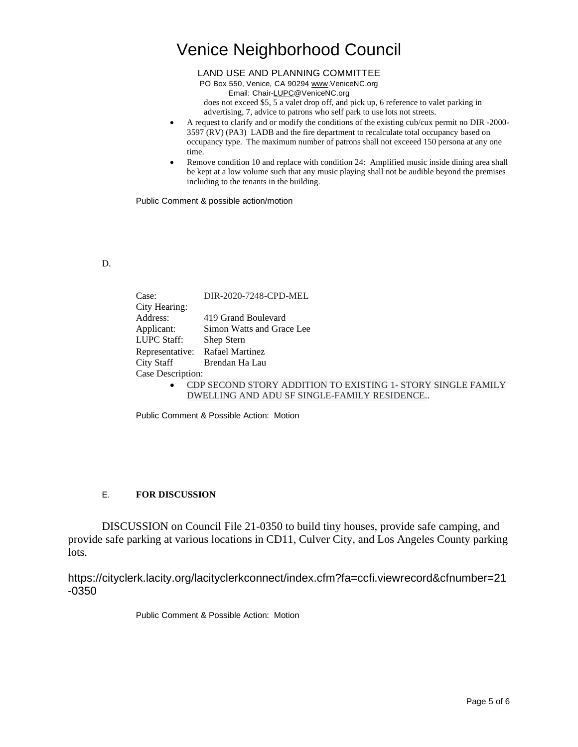LAND USE AND PLANNING COMMITTEE

PO Box 550, Venice, CA 90294 [www.VeniceNC.org](http://www.venicenc.org/)

Email: Chai[r-LUPC@VeniceNC.org](mailto:LUPC@VeniceNC.org)

does not exceed \$5, 5 a valet drop off, and pick up, 6 reference to valet parking in advertising, 7, advice to patrons who self park to use lots not streets.

- A request to clarify and or modify the conditions of the existing cub/cux permit no DIR -2000- 3597 (RV) (PA3) LADB and the fire department to recalculate total occupancy based on occupancy type. The maximum number of patrons shall not exceeed 150 persona at any one time.
- Remove condition 10 and replace with condition 24: Amplified music inside dining area shall be kept at a low volume such that any music playing shall not be audible beyond the premises including to the tenants in the building.

Public Comment & possible action/motion

## D.

| Case:             | DIR-2020-7248-CPD-MEL                                        |
|-------------------|--------------------------------------------------------------|
| City Hearing:     |                                                              |
| Address:          | 419 Grand Boulevard                                          |
| Applicant:        | Simon Watts and Grace Lee                                    |
| LUPC Staff:       | Shep Stern                                                   |
|                   | Representative: Rafael Martinez                              |
|                   | City Staff Brendan Ha Lau                                    |
| Case Description: |                                                              |
|                   | CDP SECOND STORY ADDITION TO EXISTING 1. STORY SINGLE FAMILY |

OND STORY ADDITION TO EXISTING 1- STORY SINGLE FAMILY DWELLING AND ADU SF SINGLE-FAMILY RESIDENCE..

Public Comment & Possible Action: Motion

## E. **FOR DISCUSSION**

DISCUSSION on Council File 21-0350 to build tiny houses, provide safe camping, and provide safe parking at various locations in CD11, Culver City, and Los Angeles County parking lots.

https://cityclerk.lacity.org/lacityclerkconnect/index.cfm?fa=ccfi.viewrecord&cfnumber=21 -0350

Public Comment & Possible Action: Motion